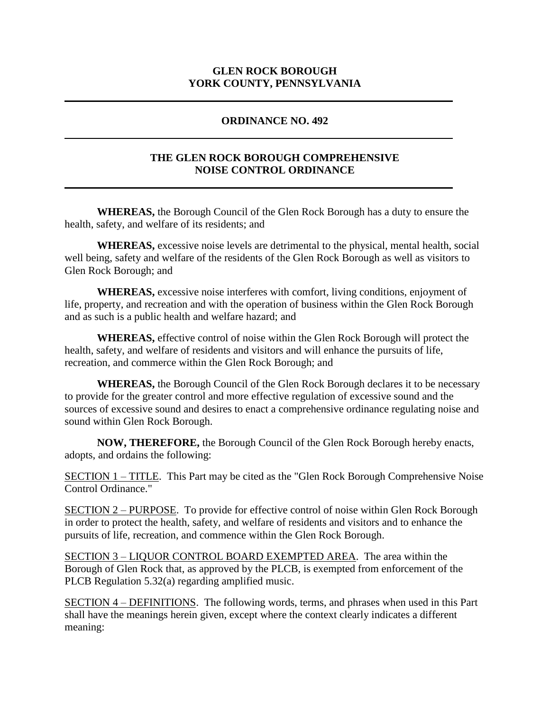### **GLEN ROCK BOROUGH YORK COUNTY, PENNSYLVANIA**

#### **ORDINANCE NO. 492**

### **THE GLEN ROCK BOROUGH COMPREHENSIVE NOISE CONTROL ORDINANCE**

**WHEREAS,** the Borough Council of the Glen Rock Borough has a duty to ensure the health, safety, and welfare of its residents; and

**WHEREAS,** excessive noise levels are detrimental to the physical, mental health, social well being, safety and welfare of the residents of the Glen Rock Borough as well as visitors to Glen Rock Borough; and

**WHEREAS,** excessive noise interferes with comfort, living conditions, enjoyment of life, property, and recreation and with the operation of business within the Glen Rock Borough and as such is a public health and welfare hazard; and

**WHEREAS,** effective control of noise within the Glen Rock Borough will protect the health, safety, and welfare of residents and visitors and will enhance the pursuits of life, recreation, and commerce within the Glen Rock Borough; and

**WHEREAS,** the Borough Council of the Glen Rock Borough declares it to be necessary to provide for the greater control and more effective regulation of excessive sound and the sources of excessive sound and desires to enact a comprehensive ordinance regulating noise and sound within Glen Rock Borough.

**NOW, THEREFORE,** the Borough Council of the Glen Rock Borough hereby enacts, adopts, and ordains the following:

SECTION 1 – TITLE. This Part may be cited as the "Glen Rock Borough Comprehensive Noise Control Ordinance."

SECTION 2 – PURPOSE. To provide for effective control of noise within Glen Rock Borough in order to protect the health, safety, and welfare of residents and visitors and to enhance the pursuits of life, recreation, and commence within the Glen Rock Borough.

SECTION 3 – LIQUOR CONTROL BOARD EXEMPTED AREA. The area within the Borough of Glen Rock that, as approved by the PLCB, is exempted from enforcement of the PLCB Regulation 5.32(a) regarding amplified music.

SECTION 4 – DEFINITIONS. The following words, terms, and phrases when used in this Part shall have the meanings herein given, except where the context clearly indicates a different meaning: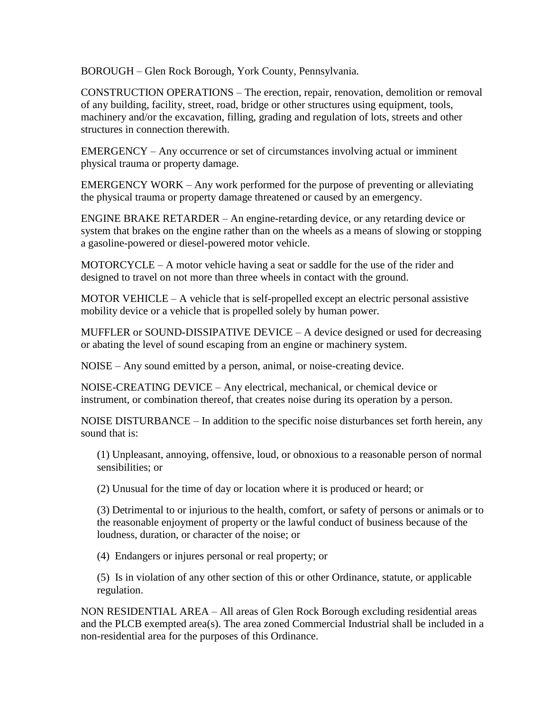BOROUGH – Glen Rock Borough, York County, Pennsylvania.

CONSTRUCTION OPERATIONS – The erection, repair, renovation, demolition or removal of any building, facility, street, road, bridge or other structures using equipment, tools, machinery and/or the excavation, filling, grading and regulation of lots, streets and other structures in connection therewith.

EMERGENCY – Any occurrence or set of circumstances involving actual or imminent physical trauma or property damage.

EMERGENCY WORK – Any work performed for the purpose of preventing or alleviating the physical trauma or property damage threatened or caused by an emergency.

ENGINE BRAKE RETARDER – An engine-retarding device, or any retarding device or system that brakes on the engine rather than on the wheels as a means of slowing or stopping a gasoline-powered or diesel-powered motor vehicle.

MOTORCYCLE – A motor vehicle having a seat or saddle for the use of the rider and designed to travel on not more than three wheels in contact with the ground.

MOTOR VEHICLE – A vehicle that is self-propelled except an electric personal assistive mobility device or a vehicle that is propelled solely by human power.

MUFFLER or SOUND-DISSIPATIVE DEVICE – A device designed or used for decreasing or abating the level of sound escaping from an engine or machinery system.

NOISE – Any sound emitted by a person, animal, or noise-creating device.

NOISE-CREATING DEVICE – Any electrical, mechanical, or chemical device or instrument, or combination thereof, that creates noise during its operation by a person.

NOISE DISTURBANCE – In addition to the specific noise disturbances set forth herein, any sound that is:

(1) Unpleasant, annoying, offensive, loud, or obnoxious to a reasonable person of normal sensibilities; or

(2) Unusual for the time of day or location where it is produced or heard; or

(3) Detrimental to or injurious to the health, comfort, or safety of persons or animals or to the reasonable enjoyment of property or the lawful conduct of business because of the loudness, duration, or character of the noise; or

(4) Endangers or injures personal or real property; or

(5) Is in violation of any other section of this or other Ordinance, statute, or applicable regulation.

NON RESIDENTIAL AREA – All areas of Glen Rock Borough excluding residential areas and the PLCB exempted area(s). The area zoned Commercial Industrial shall be included in a non-residential area for the purposes of this Ordinance.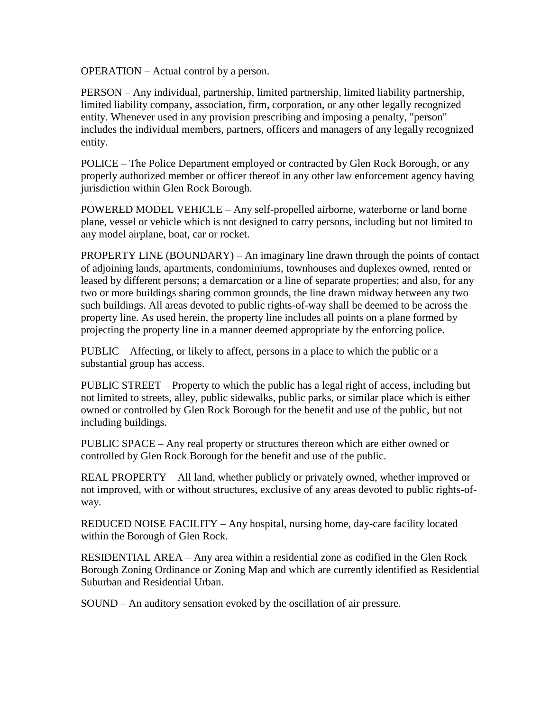OPERATION – Actual control by a person.

PERSON – Any individual, partnership, limited partnership, limited liability partnership, limited liability company, association, firm, corporation, or any other legally recognized entity. Whenever used in any provision prescribing and imposing a penalty, "person" includes the individual members, partners, officers and managers of any legally recognized entity.

POLICE – The Police Department employed or contracted by Glen Rock Borough, or any properly authorized member or officer thereof in any other law enforcement agency having jurisdiction within Glen Rock Borough.

POWERED MODEL VEHICLE – Any self-propelled airborne, waterborne or land borne plane, vessel or vehicle which is not designed to carry persons, including but not limited to any model airplane, boat, car or rocket.

PROPERTY LINE (BOUNDARY) – An imaginary line drawn through the points of contact of adjoining lands, apartments, condominiums, townhouses and duplexes owned, rented or leased by different persons; a demarcation or a line of separate properties; and also, for any two or more buildings sharing common grounds, the line drawn midway between any two such buildings. All areas devoted to public rights-of-way shall be deemed to be across the property line. As used herein, the property line includes all points on a plane formed by projecting the property line in a manner deemed appropriate by the enforcing police.

PUBLIC – Affecting, or likely to affect, persons in a place to which the public or a substantial group has access.

PUBLIC STREET – Property to which the public has a legal right of access, including but not limited to streets, alley, public sidewalks, public parks, or similar place which is either owned or controlled by Glen Rock Borough for the benefit and use of the public, but not including buildings.

PUBLIC SPACE – Any real property or structures thereon which are either owned or controlled by Glen Rock Borough for the benefit and use of the public.

REAL PROPERTY – All land, whether publicly or privately owned, whether improved or not improved, with or without structures, exclusive of any areas devoted to public rights-ofway.

REDUCED NOISE FACILITY – Any hospital, nursing home, day-care facility located within the Borough of Glen Rock.

RESIDENTIAL AREA – Any area within a residential zone as codified in the Glen Rock Borough Zoning Ordinance or Zoning Map and which are currently identified as Residential Suburban and Residential Urban.

SOUND – An auditory sensation evoked by the oscillation of air pressure.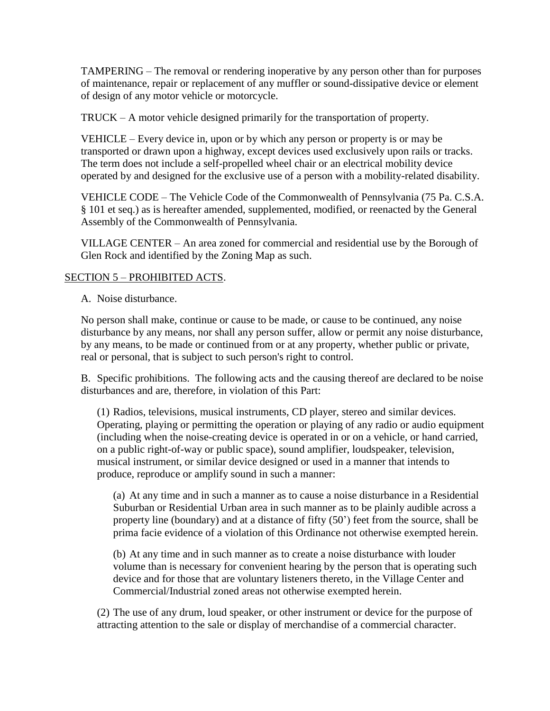TAMPERING – The removal or rendering inoperative by any person other than for purposes of maintenance, repair or replacement of any muffler or sound-dissipative device or element of design of any motor vehicle or motorcycle.

TRUCK – A motor vehicle designed primarily for the transportation of property.

VEHICLE – Every device in, upon or by which any person or property is or may be transported or drawn upon a highway, except devices used exclusively upon rails or tracks. The term does not include a self-propelled wheel chair or an electrical mobility device operated by and designed for the exclusive use of a person with a mobility-related disability.

VEHICLE CODE – The Vehicle Code of the Commonwealth of Pennsylvania (75 Pa. C.S.A. § 101 et seq.) as is hereafter amended, supplemented, modified, or reenacted by the General Assembly of the Commonwealth of Pennsylvania.

VILLAGE CENTER – An area zoned for commercial and residential use by the Borough of Glen Rock and identified by the Zoning Map as such.

# SECTION 5 – PROHIBITED ACTS.

A. Noise disturbance.

No person shall make, continue or cause to be made, or cause to be continued, any noise disturbance by any means, nor shall any person suffer, allow or permit any noise disturbance, by any means, to be made or continued from or at any property, whether public or private, real or personal, that is subject to such person's right to control.

B. Specific prohibitions. The following acts and the causing thereof are declared to be noise disturbances and are, therefore, in violation of this Part:

(1) Radios, televisions, musical instruments, CD player, stereo and similar devices. Operating, playing or permitting the operation or playing of any radio or audio equipment (including when the noise-creating device is operated in or on a vehicle, or hand carried, on a public right-of-way or public space), sound amplifier, loudspeaker, television, musical instrument, or similar device designed or used in a manner that intends to produce, reproduce or amplify sound in such a manner:

(a) At any time and in such a manner as to cause a noise disturbance in a Residential Suburban or Residential Urban area in such manner as to be plainly audible across a property line (boundary) and at a distance of fifty (50') feet from the source, shall be prima facie evidence of a violation of this Ordinance not otherwise exempted herein.

(b) At any time and in such manner as to create a noise disturbance with louder volume than is necessary for convenient hearing by the person that is operating such device and for those that are voluntary listeners thereto, in the Village Center and Commercial/Industrial zoned areas not otherwise exempted herein.

(2) The use of any drum, loud speaker, or other instrument or device for the purpose of attracting attention to the sale or display of merchandise of a commercial character.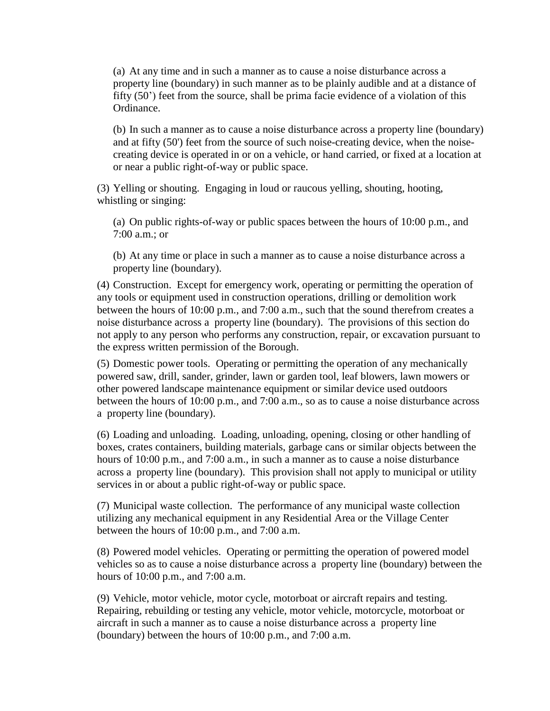(a) At any time and in such a manner as to cause a noise disturbance across a property line (boundary) in such manner as to be plainly audible and at a distance of fifty (50') feet from the source, shall be prima facie evidence of a violation of this Ordinance.

(b) In such a manner as to cause a noise disturbance across a property line (boundary) and at fifty (50') feet from the source of such noise-creating device, when the noisecreating device is operated in or on a vehicle, or hand carried, or fixed at a location at or near a public right-of-way or public space.

(3) Yelling or shouting. Engaging in loud or raucous yelling, shouting, hooting, whistling or singing:

(a) On public rights-of-way or public spaces between the hours of 10:00 p.m., and 7:00 a.m.; or

(b) At any time or place in such a manner as to cause a noise disturbance across a property line (boundary).

(4) Construction. Except for emergency work, operating or permitting the operation of any tools or equipment used in construction operations, drilling or demolition work between the hours of 10:00 p.m., and 7:00 a.m., such that the sound therefrom creates a noise disturbance across a property line (boundary). The provisions of this section do not apply to any person who performs any construction, repair, or excavation pursuant to the express written permission of the Borough.

(5) Domestic power tools. Operating or permitting the operation of any mechanically powered saw, drill, sander, grinder, lawn or garden tool, leaf blowers, lawn mowers or other powered landscape maintenance equipment or similar device used outdoors between the hours of 10:00 p.m., and 7:00 a.m., so as to cause a noise disturbance across a property line (boundary).

(6) Loading and unloading. Loading, unloading, opening, closing or other handling of boxes, crates containers, building materials, garbage cans or similar objects between the hours of 10:00 p.m., and 7:00 a.m., in such a manner as to cause a noise disturbance across a property line (boundary). This provision shall not apply to municipal or utility services in or about a public right-of-way or public space.

(7) Municipal waste collection. The performance of any municipal waste collection utilizing any mechanical equipment in any Residential Area or the Village Center between the hours of 10:00 p.m., and 7:00 a.m.

(8) Powered model vehicles. Operating or permitting the operation of powered model vehicles so as to cause a noise disturbance across a property line (boundary) between the hours of 10:00 p.m., and 7:00 a.m.

(9) Vehicle, motor vehicle, motor cycle, motorboat or aircraft repairs and testing. Repairing, rebuilding or testing any vehicle, motor vehicle, motorcycle, motorboat or aircraft in such a manner as to cause a noise disturbance across a property line (boundary) between the hours of 10:00 p.m., and 7:00 a.m.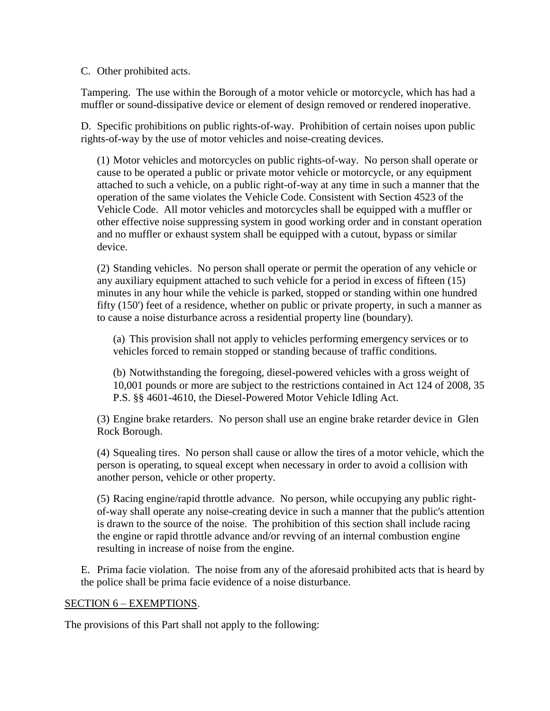C. Other prohibited acts.

Tampering. The use within the Borough of a motor vehicle or motorcycle, which has had a muffler or sound-dissipative device or element of design removed or rendered inoperative.

D. Specific prohibitions on public rights-of-way. Prohibition of certain noises upon public rights-of-way by the use of motor vehicles and noise-creating devices.

(1) Motor vehicles and motorcycles on public rights-of-way. No person shall operate or cause to be operated a public or private motor vehicle or motorcycle, or any equipment attached to such a vehicle, on a public right-of-way at any time in such a manner that the operation of the same violates the Vehicle Code. Consistent with Section 4523 of the Vehicle Code. All motor vehicles and motorcycles shall be equipped with a muffler or other effective noise suppressing system in good working order and in constant operation and no muffler or exhaust system shall be equipped with a cutout, bypass or similar device.

(2) Standing vehicles. No person shall operate or permit the operation of any vehicle or any auxiliary equipment attached to such vehicle for a period in excess of fifteen (15) minutes in any hour while the vehicle is parked, stopped or standing within one hundred fifty (150') feet of a residence, whether on public or private property, in such a manner as to cause a noise disturbance across a residential property line (boundary).

(a) This provision shall not apply to vehicles performing emergency services or to vehicles forced to remain stopped or standing because of traffic conditions.

(b) Notwithstanding the foregoing, diesel-powered vehicles with a gross weight of 10,001 pounds or more are subject to the restrictions contained in Act 124 of 2008, 35 P.S. §§ 4601-4610, the Diesel-Powered Motor Vehicle Idling Act.

(3) Engine brake retarders. No person shall use an engine brake retarder device in Glen Rock Borough.

(4) Squealing tires. No person shall cause or allow the tires of a motor vehicle, which the person is operating, to squeal except when necessary in order to avoid a collision with another person, vehicle or other property.

(5) Racing engine/rapid throttle advance. No person, while occupying any public rightof-way shall operate any noise-creating device in such a manner that the public's attention is drawn to the source of the noise. The prohibition of this section shall include racing the engine or rapid throttle advance and/or revving of an internal combustion engine resulting in increase of noise from the engine.

E. Prima facie violation. The noise from any of the aforesaid prohibited acts that is heard by the police shall be prima facie evidence of a noise disturbance.

#### SECTION 6 – EXEMPTIONS.

The provisions of this Part shall not apply to the following: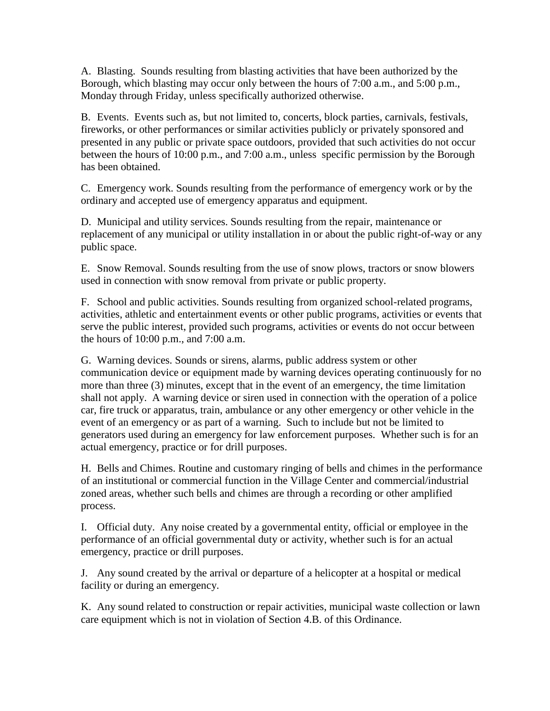A. Blasting. Sounds resulting from blasting activities that have been authorized by the Borough, which blasting may occur only between the hours of 7:00 a.m., and 5:00 p.m., Monday through Friday, unless specifically authorized otherwise.

B. Events. Events such as, but not limited to, concerts, block parties, carnivals, festivals, fireworks, or other performances or similar activities publicly or privately sponsored and presented in any public or private space outdoors, provided that such activities do not occur between the hours of 10:00 p.m., and 7:00 a.m., unless specific permission by the Borough has been obtained.

C. Emergency work. Sounds resulting from the performance of emergency work or by the ordinary and accepted use of emergency apparatus and equipment.

D. Municipal and utility services. Sounds resulting from the repair, maintenance or replacement of any municipal or utility installation in or about the public right-of-way or any public space.

E. Snow Removal. Sounds resulting from the use of snow plows, tractors or snow blowers used in connection with snow removal from private or public property.

F. School and public activities. Sounds resulting from organized school-related programs, activities, athletic and entertainment events or other public programs, activities or events that serve the public interest, provided such programs, activities or events do not occur between the hours of 10:00 p.m., and 7:00 a.m.

G. Warning devices. Sounds or sirens, alarms, public address system or other communication device or equipment made by warning devices operating continuously for no more than three (3) minutes, except that in the event of an emergency, the time limitation shall not apply. A warning device or siren used in connection with the operation of a police car, fire truck or apparatus, train, ambulance or any other emergency or other vehicle in the event of an emergency or as part of a warning. Such to include but not be limited to generators used during an emergency for law enforcement purposes. Whether such is for an actual emergency, practice or for drill purposes.

H. Bells and Chimes. Routine and customary ringing of bells and chimes in the performance of an institutional or commercial function in the Village Center and commercial/industrial zoned areas, whether such bells and chimes are through a recording or other amplified process.

I. Official duty. Any noise created by a governmental entity, official or employee in the performance of an official governmental duty or activity, whether such is for an actual emergency, practice or drill purposes.

J. Any sound created by the arrival or departure of a helicopter at a hospital or medical facility or during an emergency.

K. Any sound related to construction or repair activities, municipal waste collection or lawn care equipment which is not in violation of Section 4.B. of this Ordinance.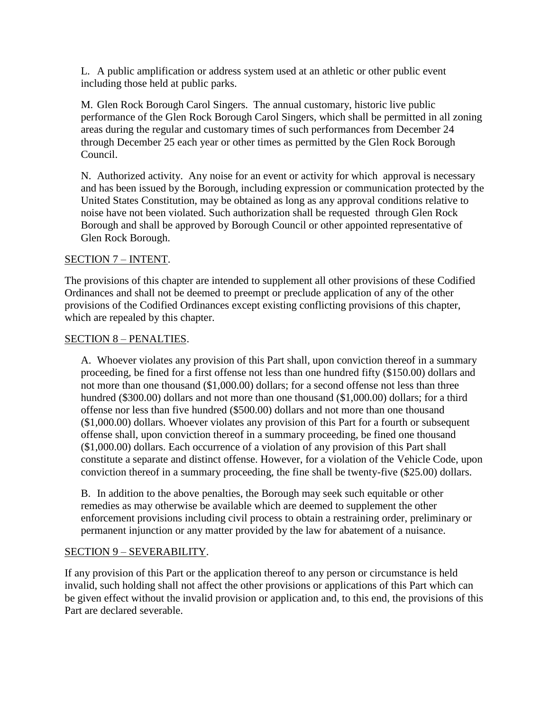L. A public amplification or address system used at an athletic or other public event including those held at public parks.

M. Glen Rock Borough Carol Singers. The annual customary, historic live public performance of the Glen Rock Borough Carol Singers, which shall be permitted in all zoning areas during the regular and customary times of such performances from December 24 through December 25 each year or other times as permitted by the Glen Rock Borough Council.

N. Authorized activity. Any noise for an event or activity for which approval is necessary and has been issued by the Borough, including expression or communication protected by the United States Constitution, may be obtained as long as any approval conditions relative to noise have not been violated. Such authorization shall be requested through Glen Rock Borough and shall be approved by Borough Council or other appointed representative of Glen Rock Borough.

# SECTION 7 – INTENT.

The provisions of this chapter are intended to supplement all other provisions of these Codified Ordinances and shall not be deemed to preempt or preclude application of any of the other provisions of the Codified Ordinances except existing conflicting provisions of this chapter, which are repealed by this chapter.

#### SECTION 8 – PENALTIES.

A. Whoever violates any provision of this Part shall, upon conviction thereof in a summary proceeding, be fined for a first offense not less than one hundred fifty (\$150.00) dollars and not more than one thousand (\$1,000.00) dollars; for a second offense not less than three hundred (\$300.00) dollars and not more than one thousand (\$1,000.00) dollars; for a third offense nor less than five hundred (\$500.00) dollars and not more than one thousand (\$1,000.00) dollars. Whoever violates any provision of this Part for a fourth or subsequent offense shall, upon conviction thereof in a summary proceeding, be fined one thousand (\$1,000.00) dollars. Each occurrence of a violation of any provision of this Part shall constitute a separate and distinct offense. However, for a violation of the Vehicle Code, upon conviction thereof in a summary proceeding, the fine shall be twenty-five (\$25.00) dollars.

B. In addition to the above penalties, the Borough may seek such equitable or other remedies as may otherwise be available which are deemed to supplement the other enforcement provisions including civil process to obtain a restraining order, preliminary or permanent injunction or any matter provided by the law for abatement of a nuisance.

#### SECTION 9 – SEVERABILITY.

If any provision of this Part or the application thereof to any person or circumstance is held invalid, such holding shall not affect the other provisions or applications of this Part which can be given effect without the invalid provision or application and, to this end, the provisions of this Part are declared severable.